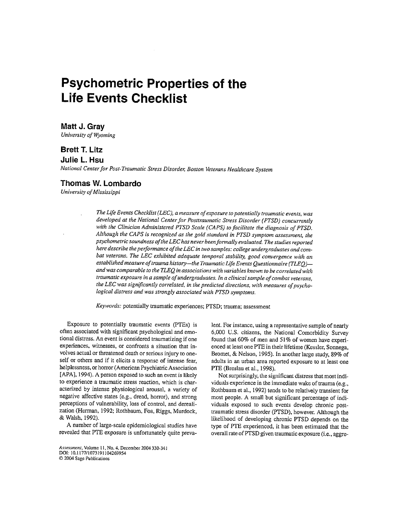# **Psychometric Properties of the Life Events Checklist**

# **Matt J. Gray**

*University of Wyoming* 

# **Brett T. Litz**

**Julie L. Hsu** 

*National Center for Post-Traumatic Stress Disorder Boston Veterans Healthcare System* 

# **Thomas W. Lombardo**

*University of Mississippi* 

The Life Events Checklist (LEC), a measure of exposure to potentially traumatic events, was developed at the National Center for Posttraumatic Stress Disorder (PTSD) concurrently with the Clinician Administered PTSD Scale *Although the CAPS is recognized as the gold standard in PTSD symptom assessment, the*  here describe the performance of the LEC in two samples: college undergraduates and combat veterans. The LEC exhibited adequate temporal stability, good convergence with an established measure of trauma history—the Traumat *and was comparable to the TLEQ in associations with variables known to be correlated with traumatic exposure in a sample of undergraduates. In a clinical sample of combat veterans, the LEC was significantly correlated, in the predicted directions, with measures of psycho-*<br>*logical distress and was strongly associated with PTSD symptoms.* 

*Keywords:* potentially traumatic experiences; PTSD; trauma; assessment

Exposure to potentially traumatic events (PTEs) is often associated with significant psychological and emotional distress. An event is considered traumatizing if one experiences, witnesses, or confronts a situation that involves actual or threatened death or serious injury to one self or others and if it elicits a response of intense fear, helplessness, or horror (American Psychiatric Association [APA], 1994). A person exposed to such an event is likely to experience a traumatic stress reaction, which is char acterized by intense physiological arousal, a variety of negative affective states (e.g., dread, horror), and strong perceptions of vulnerability, loss of control, and dereali zation (Herman, 1992; Rothbaum, Foa, Riggs, Murdock, & Walsh, 1992).

A number of large-scale epidemiological studies have revealed that PTE exposure is unfortunately quite preva-

*Assessment,* Volume **11,** No. 4, December 2004 330-341 DOI: **10.1177/1073191104269954 copyright** 2004 Sage Publications

lent. For instance, using a representative sample of nearly 6,000 U.S. citizens, the National Comorbidity Survey found that 60% of men and 51% of women have experi enced at least one PTE in their lifetime (Kessler, Sonnega, Bromet, & Nelson, 1995). In another large study, 89% of adults in an urban area reported exposure to at least one PTE (Breslau et al., 1998).

Not surprisingly, the significant distress that most indi viduals experience in the immediate wake of trauma (e.g., Rothbaum et al., 1992) tends to be relatively transient for most people. A small but significant percentage of indi viduals exposed to such events develop chronic post traumatic stress disorder (PTSD), however. Although the likelihood of developing chronic PTSD depends on the type of PTE experienced, it has been estimated that the overall rate of PTSD given traumatic exposure (i.e., aggre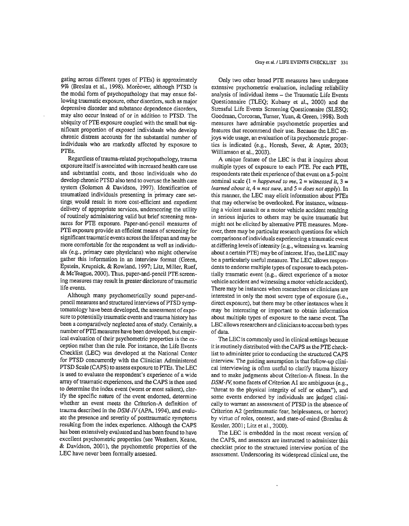gating across different types of PTEs) is approximately 9% (Breslau et al., 1998). Moreover, although PTSD is the modal form of psychopathology that may ensue fol lowing traumatic exposure, other disorders, such as major depressive disorder and substance dependence disorders, may also occur instead of or in addition to PTSD. The ubiquity of PTE exposure coupled with the small but sig nificant proportion of exposed individuals who develop chronic distress accounts for the substantial number of individuals who are markedly affected by exposure to PTEs.

Regardless of trauma-related psychopathology, trauma exposure itself is associated with increased health care use and substantial costs, and those individuals who do develop chronic PTSD also tend to overuse the health care system (Solomon & Davidson, 1997). Identification of traumatized individuals presenting in primary care set tings would result in more cost-efficient and expedient delivery of appropriate services, underscoring the utility of routinely administering valid but brief screening mea sures for PTE exposure. Paper-and-pencil measures of PTE exposure provide an efficient means of screening for significant traumatic events across the lifespan and may be more comfortable for the respondent as well as individu als (e.g., primary care physicians) who might otherwise gather this information in an interview format (Green, Epstein, Krupnick, & Rowland, 1997; Litz, Miller, Ruef, & McTeague, 2000). Thus, paper-and-pencil PTE screen ing measures may result in greater disclosure of traumatic life events.

Although many psychometrically sound paper-and pencil measures and structured interviews of PTSD symp tomatology have been developed, the assessment of expo sure to potentially traumatic events and trauma history has been a comparatively neglected area of study. Certainly, a number of PTE measures have been developed, but empir ical evaluation of their psychometric properties is the ex ception rather than the rule. For instance, the Life Events Checklist (LEC) was developed at the National Center for PTSD concurrently with the Clinician Administered PTSD Scale (CAPS) to assess exposure to PTEs. The LEC is used to evaluate the respondent's experience of a wide array of traumatic experiences, and the CAPS is then used to determine the index event (worst or most salient), clar ify the specific nature of the event endorsed, determine whether an event meets the Criterion-A definition of trauma described in the *DSM-IV (APA,* 1994), and evalu ate the presence and severity of posttraumatic symptoms resulting from the index experience. Although the CAPS has been extensively evaluated and has been found to have excellent psychometric properties (see Weathers, Keane, & Davidson, 2001), the psychometric properties of the LEC have never been formally assessed.

Only two other broad PTE measures have undergone extensive psychometric evaluation, including reliability analysis of individual items - the Traumatic Life Events Questionnaire (TLEQ; Kubany et al., 2000) and the Stressful Life Events Screening Questionnaire (SLESQ; Goodman, Corcoran, Turner, Yuan, & Green, 1998). Both measures have admirable psychometric properties and features that recommend their use. Because the LEC en joys wide usage, an evaluation of its psychometric proper ties is indicated (e.g., Horesh, Sever, & Apter, 2003; Williamson et al., 2003).

A unique feature of the LEC is that it inquires about multiple types of exposure to each PTE. For each PTE, respondents rate their experience of that event on a 5-point<br>nominal scale  $(1 = happened to me, 2 = witnessed it, 3 =$ *learned about it, 4 = not sure, and 5 = does not apply).* In this manner, the LEC may elicit information about PTEs that may otherwise be overlooked. For instance, witness ing a violent assault or a motor vehicle accident resulting in serious injuries to others may be quite traumatic but might not be elicited by alternative PTE measures. More over, there may be particular research questions for which comparisons of individuals experiencing a traumatic event at differing levels of intensity (e.g., witnessing vs. learning about a certain PTE) may be of interest. If so, the LEC may be a particularly useful measure. The LEC allows respon dents to endorse multiple types of exposure to each poten tially traumatic event (e.g., direct experience of a motor vehicle accident and witnessing a motor vehicle accident). interested in only the most severe type of exposure (i.e., direct exposure), but there may be other instances when it may be interesting or important to obtain information about multiple types of exposure to the same event. The LEC allows researchers and clinicians to access both types of data.

The LEC is commonly used in clinical settings because it is routinely distributed with the CAPS as the PTE check list to administer prior to conducting the structured CAPS interview. The guiding assumption is that follow-up clini cal interviewing is often useful to clarify trauma history and to make judgments about Criterion-A fitness. In the  $DSM-IV$ , some facets of Criterion A1 are ambiguous (e.g., "threat to the physical integrity of self or others"), and some events endorsed by individuals are judged clinically to warrant an assessment of PTSD in the absence of Criterion A2 (peritraumatic fear, helplessness, or horror) by virtue of roles, context, and state-of-mind (Breslau & Kessler, 2001; Litz et al., 2000).

The LEC is embedded in the most recent version of the CAPS, and assessors are instructed to administer this checklist prior to the structured interview portion of the assessment. Underscoring its widespread clinical use, the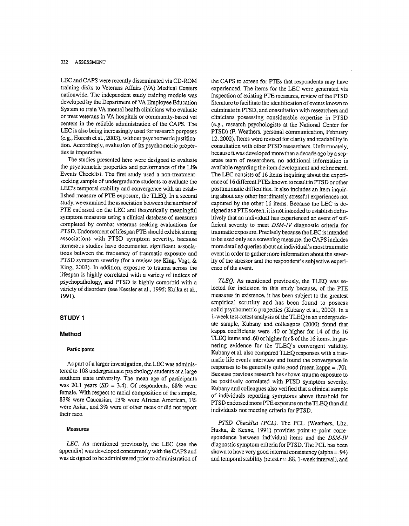LEC and CAPS were recently disseminated via CD-ROM training disks to Veterans Affairs (VA) Medical Centers nationwide. The independent study training module was developed by the Department of VA Employee Education System to train VA mental health clinicians who evaluate or treat veterans in VA hospitals or community-based vet centers in the reliable administration of the CAPS. The LEC is also being increasingly used for research purposes (e.g., Horesh et al., 2003), without psychometric justifica tion. Accordingly, evaluation of its psychometric proper ties is imperative.

The studies presented here were designed to evaluate the psychometric properties and performance of the Life Events Checklist. The first study used a non-treatment seeking sample of undergraduate students to evaluate the LEC's temporal stability and convergence with an estab lished measure of PTE exposure, the TLEQ. In a second study, we examined the association between the number of PTE endorsed on the LEC and theoretically meaningful symptom measures using a clinical database of measures completed by combat veterans seeking evaluations for PTSD. Endorsement of lifespan PTE should exhibit strong associations with PTSD symptom severity, because numerous studies have documented significant associa tions between the frequency of traumatic exposure and PTSD symptom severity (for a review see King, Vogt, & King, 2003). In addition, exposure to trauma across the lifespan is highly correlated with a variety of indices of psychopathology, and PTSD is highly comorbid with a variety of disorders (see Kessler et al., 1995; Kulka et al., 1991).

## **STUDY 1**

## **Method**

## **Participants**

As part of a larger investigation, the LEC was adminis tered to 108 undergraduate psychology students at a large southern state university. The mean age of participants was 20.1 years  $(SD = 3.4)$ . Of respondents, 68% were female. With respect to racial composition of the sample, 83% were Caucasian, 13% were African American, 1% were Asian, and 3% were of other races or did not report their race.

#### **Measures**

*LEC.* As mentioned previously, the LEC (see the appendix) was developed concurrently with the CAPS and was designed to be administered prior to administration of

the CAPS to screen for PTEs that respondents may have experienced. The items for the LEC were generated via inspection of existing PTE measures, review of the PTSD literature to facilitate the identification of events known to culminate in PTSD, and consultation with researchers and clinicians possessing considerable expertise in PTSD (e.g., research psychologists at the National Center for PTSD) (F. Weathers, personal communication, February 12, 2002). Items were revised for clarity and readability in consultation with other PTSD researchers. Unfortunately, because it was developed more than a decade ago by a sep arate team of researchers, no additional information is available regarding the item development and refinement. The LEC consists of 16 items inquiring about the experi ence of 16 different PTEs known to result in PTSD or other posttraumatic difficulties. It also includes an item inquir ing about any other inordinately stressful experiences not captured by the other 16 items. Because the LEC is de signed as a PTE screen, it is not intended to establish definitively that an individual has experienced an event of suf ficient severity to meet *DSM-IV* diagnostic criteria for traumatic exposure. Precisely because the LEC is intended to be used only as a screening measure, the CAPS includes more detailed queries about an individual's most traumatic event in order to gather more information about the sever ity of the stressor and the respondent's subjective experience of the event.

*TLEQ.* As mentioned previously, the TLEQ was se lected for inclusion in this study because, of the PTE measures in existence, it has been subject to the greatest empirical scrutiny and has been found to possess solid psychometric properties (Kubany et al., 2000). In a<br>1-week test-retest analysis of the TLEO in an undergraduate sample, Kubany and colleagues (2000) found that kappa coefficients were .40 or higher for 14 of the 16 TLEQ items and .60 or higher for 8 of the 16 items. In gar nering evidence for the TLEQ's convergent validity, Kubany et al. also compared TLEQ responses with a trau matic life events interview and found the convergence in responses to be generally quite good (mean kappa = .70). Because previous research has shown trauma exposure to be positively correlated with PTSD symptom severity, Kubany and colleagues also verified that a clinical sample of individuals reporting symptoms above threshold for PTSD endorsed more PTE exposure on the TLEQ than did individuals not meeting criteria for PTSD.

*PTSD Checklist (PCL).* The PCL (Weathers, Litz, Huska, & Keane, 1991) provides point-to-point corre spondence between individual items and the *DSM-IV*  diagnostic symptom criteria for PTSD. The PCL has been shown to have very good internal consistency (alpha = .94) and temporal stability (retest  $r = .88$ , 1-week interval), and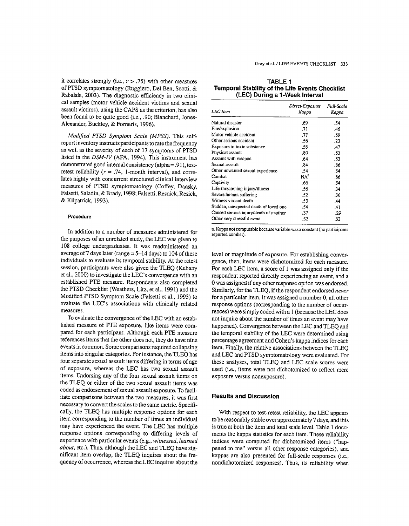it correlates strongly (i.e.,  $r > .75$ ) with other measures of PTSD symptomatology (Ruggiero, Del Ben, Scotti, & Rabalais, 2003). The diagnostic efficiency in two clini cal samples (motor vehicle accident victims and sexual assault victims), using the CAPS as the criterion, has also been found to be quite good (i.e., .90; Blanchard, Jones Alexander, Buckley, & Forneris, 1996).

*Modified PTSD Symptom Scale (MPSS).* This self report inventory instructs participants to rate the frequency as well as the severity of each of 17 symptoms of PTSD listed in the *DSM-IV* (APA, 1994). This instrument has demonstrated good internal consistency (alpha = .91), test retest reliability  $(r = .74, 1$ -month interval), and correlates highly with concurrent structured clinical interview measures of PTSD symptomatology (Coffey, Dansky, Falsetti, Saladin, & Brady, 1998; Falsetti, Resnick, Resick, & Kilpatrick, 1993).

#### **Procedure**

In addition to a number of measures administered for the purposes of an unrelated study, the LEC was given to 108 college undergraduates. It was readministered an average of 7 days later (range  $= 5-14$  days) to 104 of these individuals to evaluate its temporal stability. At the retest session, participants were also given the TLEQ (Kubany et al., 2000) to investigate the LEC's convergence with an established PTE measure. Respondents also completed the PTSD Checklist (Weathers, Litz, et al., 1991) and the Modified PTSD Symptom Scale (Falsetti et al., 1993) to evaluate the LEC's associations with clinically related measures.

To evaluate the convergence of the LEC with an estab lished measure of PTE exposure, like items were com pared for each participant. Although each PTE measure references items that the other does not, they do have nine events in common. Some comparisons required collapsing items into singular categories. For instance, the TLEQ has four separate sexual assault items differing in terms of age of exposure, whereas the LEC has two sexual assault items. Endorsing any of the four sexual assault items on the TLEQ or either of the two sexual assault items was coded as endorsement of sexual assault exposure. To facil itate comparisons between the two measures, it was first necessary to convert the scales to the same metric. Specifi cally, the TLEQ has multiple response options for each item corresponding to the number of times an individual may have experienced the event. The LEC has multiple response options corresponding to differing levels of experience with particular events (e.g., *witnessed, learned about,* etc.). Thus, although the LEC and TLEQ have sig nificant item overlap, the TLEQ inquires about the fre quency of occurrence, whereas the LEC inquires about the

| TABLE 1                                         |  |
|-------------------------------------------------|--|
| Temporal Stability of the Life Events Checklist |  |
| (LEC) During a 1-Week Interval                  |  |

| LEC Item                               | Direct-Exposure<br>Kappa | Full-Scale<br>Kappa |
|----------------------------------------|--------------------------|---------------------|
| Natural disaster                       | .69                      | .54                 |
| Fire/explosion                         | .71                      | .46                 |
| Motor vehicle accident                 | .77                      | .59                 |
| Other serious accident                 | .56                      | .23                 |
| Exposure to toxic substance            | .58                      | .47                 |
| Physical assault                       | .80                      | .53                 |
| Assault with weapon                    | .64                      | .53                 |
| Sexual assault                         | .84                      | .66                 |
| Other unwanted sexual experience       | .54                      | .54                 |
| Combat                                 | NAª                      | .66                 |
| Captivity                              | .66                      | .54                 |
| Life-threatening injury/illness        | .56                      | .34                 |
| Severe human suffering                 | .52                      | .36                 |
| Witness violent death                  | .53                      | .44                 |
| Sudden, unexpected death of loved one  | -54                      | .41                 |
| Caused serious injury/death of another | .37                      | -29                 |
| Other very stressful event             | .52                      | .32                 |

a. Kappa notcomputable because variable was a constant (no participants reported combat).

level or magnitude of exposure. For establishing convergence, then, items were dichotomized for each measure. For each LEC item, a score of 1 was assigned only if the respondent reported directly experiencing an event, and a 0 was assigned if any other response option was endorsed. Similarly, for the TLEQ, if the respondent endorsed *never*  for a particular item, it was assigned a number 0, all other response options (corresponding to the number of occur rences) were simply coded with a 1 (because the LEC does not inquire about the number of times an event may have happened). Convergence between the LEC and TLEQ and the temporal stability of the LEC were determined using percentage agreement and Cohen's kappa indices for each item. Finally, the relative associations between the TLEQ and LEC and PTSD symptomatology were evaluated. For these analyses, total TLEQ and LEC scale scores were used (i.e., items were not dichotomized to reflect mere exposure versus nonexposure).

#### **Results and Discussion**

With respect to test-retest reliability, the LEC appears to be reasonably stable over approximately 7 days, and this is true at both the item and total scale level. Table 1 docu ments the kappa statistics for each item. These reliability indices were computed for dichotomized items ("hap pened to me" versus all other response categories), and kappas are also presented for full-scale responses (i.e., nondichotomized responses). Thus, its reliability when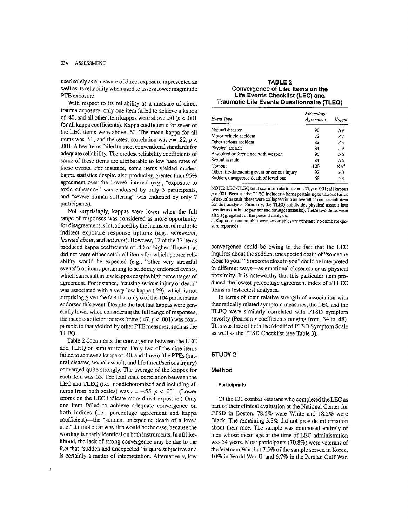used solely as a measure of direct exposure is presented as well as its reliability when used to assess lower magnitude PTE exposure.

With respect to its reliability as a measure of direct trauma exposure, only one item failed to achieve a kappa of .40, and all other item kappas were above .50 ( $p < .001$ ) for all kappa coefficients). Kappa coefficients for seven of the LEC items were above .60. The mean kappa for all items was .61, and the retest correlation was  $r = .82$ ,  $p <$ .001. A few items failed to meet conventional standards for adequate reliability. The modest reliability coefficients of some of these items are attributable to low base rates of these events. For instance, some items yielded modest kappa statistics despite also producing greater than 95% agreement over the 1-week interval (e.g., "exposure to toxic substance" was endorsed by only 3 participants, and "severe human suffering" was endorsed by only 7 participants).

Not surprisingly, kappas were lower when the full range of responses was considered as more opportunity for disagreement is introduced by the inclusion of multiple indirect exposure response options (e.g., *witnessed, learned about, and not sure).* However, 12 of the 17 items produced kappa coefficients of .40 or higher. Those that did not were either catch-all items for which poorer reli ability would be expected (e.g., "other very stressful events") or items pertaining to seldomly endorsed events, which can result in low kappas despite high percentages of agreement. For instance, "causing serious injury or death" was associated with a very low kappa (.29), which is not surprising given the fact that only 6 of the 104 participants endorsed this event. Despite the fact that kappas were gen erally lower when considering the full range of responses, the mean coefficient across items (.47, *<sup>p</sup>*<.001) was com parable to that yielded by other PTE measures, such as the TLEQ.

Table 2 documents the convergence between the LEC and TLEQ on similar items. Only two of the nine items failed to achieve a kappa of.40, and three of the PTEs (nat ural disaster, sexual assault, and life threat/serious injury) converged quite strongly. The average of the kappas for each item was .55. The total scale correlation between the LEC and TLEQ (i.e., nondichotomized and including all items from both scales) was  $r = -.55$ ,  $p < .001$ . (Lower scores on the LEC indicate more direct exposure.) Only one item failed to achieve adequate convergence on both indices (i.e., percentage agreement and kappa coefficient)---the "sudden, unexpected death of a loved one." It is not clear why this would be the case, because the wording is nearly identical on both instruments. In all like lihood, the lack of strong convergence may be due to the fact that "sudden and unexpected" is quite subjective and is certainly a matter of interpretation. Alternatively, low

 $\cdot$ 

#### **TABLE 2 Convergence of Like Items on the Life Events Checklist (LEC) and Traumatic Life Events Questionnaire (TLEQ)**

| Event Type                                     | Percentage<br>Agreement | Kanpa |
|------------------------------------------------|-------------------------|-------|
| Natural disaster                               | 90                      | .79   |
| Motor vehicle accident                         | 72                      | .47   |
| Other serious accident                         | 82                      | .43   |
| Physical assault                               | 84                      | .59   |
| Assaulted or threatened with weapon            | 95                      | .36   |
| Sexual assault                                 | 84                      | .76   |
| Combat                                         | 100                     | NAª   |
| Other life-threatening event or serious injury | 92                      | .60   |
| Sudden, unexpected death of loved one          | 68                      | .38   |

NOTE: LEC-TLEQ total scale correlation:  $r = -.55$ ,  $p < .001$ ; all kappas  $p < .001$ . Because the TLEQ includes 4 items pertaining to various forms of sexual assault, these were collapsed into an overall sexual assault item two items (intimate partner and stranger assaults). These two items were<br>also aggregated for the present analysis.<br>a. Kappa not computable because variables are constant (no combat expo-

sure reported).

convergence could be owing to the fact that the LEC inquires about the sudden, unexpected death of "someone close to you." "Someone close to you" could be interpreted in different ways-as emotional closeness or as physical proximity. It is noteworthy that this particular item pro duced the lowest percentage agreement index of all LEC items in test-retest analyses.

In terms of their relative strength of association with theoretically related symptom measures, the LEC and the TLEQ were similarly correlated with PTSD symptom severity (Pearson *r* coefficients ranging from .34 to .48). This was true of both the Modified PTSD Symptom Scale as well as the PTSD Checklist (see Table 3).

## **STUDY 2**

#### **Method**

## **Participants**

Of the 131 combat veterans who completed the LEC as part of their clinical evaluation at the National Center for PTSD in Boston, 78.5% were White and 18.2% were Black. The remaining 3.3% did not provide information about their race. The sample was composed entirely of men whose mean age at the time of LEC administration was 54 years. Most participants (70.8%) were veterans of the Vietnam War, but 7.5% of the sample served in Korea, 10% in World War II, and 6.7% in the Persian Gulf War.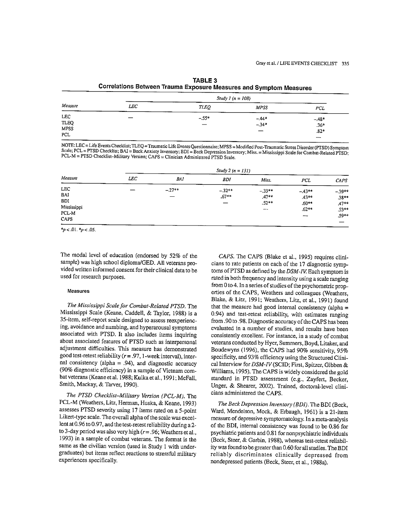| TABLE 3                                                            |
|--------------------------------------------------------------------|
| Correlations Between Trauma Exposure Measures and Symptom Measures |
|                                                                    |

|              | <i>Study 1</i> ( $n = 108$ ) |             |             |                 |
|--------------|------------------------------|-------------|-------------|-----------------|
| Measure      | LEC                          | <i>TLEO</i> | <b>MPSS</b> | <b>PCL</b>      |
| LEC          |                              | $-.55*$     | $-.44*$     | $-.48*$         |
| TLEQ<br>MPSS |                              |             | $-34*$      | $.36*$<br>$82*$ |
| PCL          |                              |             |             | $-$             |

NOTE: LEC = Life Events Checklist; TLEQ = Traumatic Life Events Questionnaire; MPSS = Modified Post-Traumatic Stress Disorder (PTSD) Symptom<br>Scale; PCL = PTSD Checklist; BAI = Beck Anxiety Inventory; BDI = Beck Depression

| Measure                   | Study 2 $(n = 131)$ |              |                     |                     |                      |                     |  |
|---------------------------|---------------------|--------------|---------------------|---------------------|----------------------|---------------------|--|
|                           | LEC                 | BAI          | BDI                 | Miss.               | <b>PCL</b>           | CAPS                |  |
| LEC<br>BAI                |                     | $-27**$<br>– | $-.32**$<br>$.67**$ | $-.33**$<br>$.47**$ | $-.43***$<br>$.43**$ | $-.39**$<br>$.38**$ |  |
| <b>BDI</b><br>Mississippi |                     |              |                     | $.52**$             | $.60**$              | $.47**$             |  |
| PCL M<br><b>CAPS</b>      |                     |              |                     | <b>STATISTICS</b>   | $.62**$<br>----      | $.53**$<br>.59**    |  |
|                           |                     |              |                     |                     |                      |                     |  |

 $*<sub>p</sub> < 0.01$ .  $*<sub>p</sub> < 0.05$ .

The modal level of education (endorsed by 52% of the sample) was high school diploma/GED. All veterans pro vided written informed consent for their clinical data to be used for research purposes.

#### **Measures**

*The Mississippi Scale for Combat-Related PTSD.* The Mississippi Scale (Keane, Caddell, & Taylor, 1988) is a 35-item, self-report scale designed to assess reexperiencing, avoidance and numbing, and hyperarousal symptoms associated with PTSD. It also includes items inquiring about associated features of PTSD such as interpersonal adjustment difficulties. This measure has demonstrated good test-retest reliability *(r=* .97, 1-week interval), inter nal consistency (alpha  $= .94$ ), and diagnostic accuracy (90% diagnostic efficiency) in a sample of Vietnam com bat veterans (Keane et al. 1988; Kulka et al., 1991; McFall, Smith, Mackay, & Tarver, 1990).

*The PTSD Checklist-Military Version (PCL-M).* The PCL-M (Weathers, Litz, Herman, Huska, & Keane, 1993) assesses PTSD severity using 17 items rated on a 5-point Likert-type scale. The overall alpha of the scale was excel lent at 0.96 to 0.97, and the test-retest reliability during a 2 to 3-day period was also very high *(r=* .96; Weathers et al., 1993) in a sample of combat veterans. The format is the same as the civilian version (used in Study 1 with under graduates) but items reflect reactions to stressful military experiences specifically.

*CAPS.* The CAPS (Blake et al., 1995) requires clini cians to rate patients on each of the 17 diagnostic symp toms of PTSD as defined by the *DSM-IV* Each symptom is rated in both frequency and intensity using a scale ranging from 0 to 4. In a series of studies of the psychometric prop erties of the CAPS, Weathers and colleagues (Weathers, Blake, & Litz, 1991; Weathers, Litz, et al., 1991) found that the measure had good internal consistency (alpha  $=$ 0.94) and test-retest reliability, with estimates ranging from .90 to .98. Diagnostic accuracy of the CAPS has been evaluated in a number of studies, and results have been consistently excellent. For instance, in a study of combat veterans conducted by Hyer, Summers, Boyd, Litaker, and Boudewyns (1996), the CAPS had 90% sensitivity, 95% specificity, and 93% efficiency using the Structured Clini cal Interview *for DSM-IV(SCID;* First, Spitzer, Gibben & Williams, 1995). The CAPS is widely considered the gold standard in PTSD assessment (e.g., Zayfert, Becker, Unger, & Shearer, 2002). Trained, doctoral-level clini cians administered the CAPS.

*The Beck Depression Inventory (BDI).* The BDI (Beck, Ward, Mendelson, Mock, & Erbaugh, 1961) is a 21-item measure of depressive symptomatology. In a meta-analysis of the BDI, internal consistency was found to be 0.86 for psychiatric patients and 0.81 for nonpsychiatric individuals (Beck, Steer, & Garbin, 1988), whereas test-retest reliabil ity was found to be greater than 0.60 for all studies. The BDI reliably discriminates clinically depressed from nondepressed patients (Beck, Steer, et al., 1988a).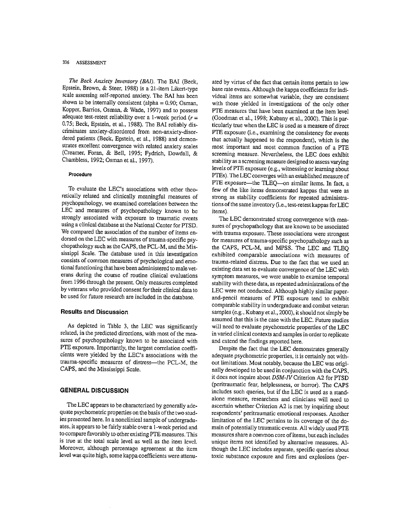#### 336 ASSESSMENT

*The Beck Anxiety Inventory (BAI).* The BAI (Beck, Epstein, Brown, & Steer, 1988) is a 21-item Likert-type scale assessing self-reported anxiety. The BAI has been shown to be internally consistent (alpha =  $0.90$ ; Osman, Kopper, Barrios, Osman, & Wade, 1997) and to possess adequate test-retest reliability over a 1-week period *(r* = 0.75; Beck, Epstein, et al., 1988). The BAI reliably dis criminates anxiety-disordered from non-anxiety-disor dered patients (Beck, Epstein, et al., 1988) and demon strates excellent convergence with related anxiety scales (Creamer, Foran, & Bell, 1995; Fydrich, Dowdall, & Chambless, 1992; Osman et al., 1997).

#### **Procedure**

To evaluate the LEC's associations with other theo retically related and clinically meaningful measures of psychopathology, we examined correlations between the LEC and measures of psychopathology known to be strongly associated with exposure to traumatic events using a clinical database at the National Center for PTSD. We compared the association of the number of items en dorsed on the LEC with measures of trauma-specific psy chopathology such as the CAPS, the PCL-M, and the Mis sissippi Scale. The database used in this investigation consists of common measures of psychological and emo tional functioning that have been administered to male vet erans during the course of routine clinical evaluations from 1996 through the present. Only measures completed by veterans who provided consent for their clinical data to be used for future research are included in the database.

#### **Results and Discussion**

As depicted in Table 3, the LEC was significantly related, in the predicted directions, with most of the mea sures of psychopathology known to be associated with PTE exposure. Importantly, the largest correlation coeffi cients were yielded by the LEC's associations with the trauma-specific measures of distress-the PCL-M, the CAPS, and the Mississippi Scale.

#### **GENERAL DISCUSSION**

The LEC appears to be characterized by generally ade quate psychometric properties on thebasis of the two stud ies presented here. In a nonclinical sample of undergradu ates, it appears to be fairly stable over a 1-week period and to compare favorably to other existing PTE measures. This is true at the total scale level as well as the item level. Moreover, although percentage agreement at the item level was quite high, some kappa coefficients were attenuated by virtue of the fact that certain items pertain to low base rate events. Although the kappa coefficients for indi vidual items are somewhat variable, they are consistent with those yielded in investigations of the only other PTE measures that have been examined at the item level (Goodman et al., 1998; Kubany et al., 2000). This is par ticularly true when the LEC is used as a measure of direct PTE exposure (i.e., examining the consistency for events that actually happened to the respondent), which is the most important and most common function of a PTE screening measure. Nevertheless, the LEC does exhibit stability as a screening measure designed to assess varying levels of PTE exposure (e.g., witnessing or learning about PTEs). The LEC converges with an established measure of PTE exposure-the TLEQ-on similar items. In fact, a few of the like items demonstrated kappas that were as strong as stability coefficients for repeated administra tions of the same inventory (i.e., test-retest kappas for LEC items).

The LEC demonstrated strong convergence with mea sures of psychopathology that are known to be associated with trauma exposure. These associations were strongest for measures of trauma-specific psychopathology such as the CAPS, PCL-M, and MPSS. The LEC and TLEQ exhibited comparable associations with measures of trauma-related distress. Due to the fact that we used an existing data set to evaluate convergence of the LEC with symptom measures, we were unable to examine temporal stability with these data, as repeated administrations of the LEC were not conducted. Although highly similar paper and-pencil measures of PTE exposure tend to exhibit comparable stability in undergraduate and combat veteran samples (e.g., Kubany et al., 2000), it should not simply be assumed that this is the case with the LEC. Future studies will need to evaluate psychometric properties of the LEC in varied clinical contexts and samples in order to replicate and extend the findings reported here.

Despite the fact that the LEC demonstrates generally adequate psychometric properties, it is certainly not with out limitations. Most notably, because the LEC was origi nally developed to be used in conjunction with the CAPS, it does not inquire about *DSM-IV* Criterion A2 for PTSD (peritraumatic fear, helplessness, or horror). The CAPS includes such queries, but if the LEC is used as a stand alone measure, researchers and clinicians will need to ascertain whether Criterion A2 is met by inquiring about respondents' peritraumatic emotional responses. Another limitation of the LEC pertains to its coverage of the do main of potentially traumatic events. All widely used PTE measures share a common core of items, but each includes unique items not identified by alternative measures. Al though the LEC includes separate, specific queries about toxic substance exposure and fires and explosions (per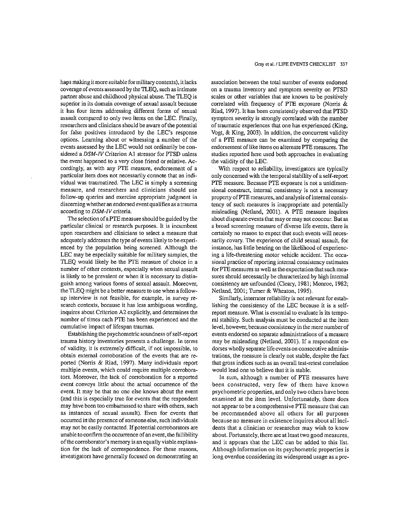haps making it more suitable for military contexts), it lacks coverage of events assessed by the TLEQ, such as intimate partner abuse and childhood physical abuse. The TLEQ is superior in its domain coverage of sexual assault because it has four items addressing different forms of sexual assault compared to only two items on the LEC. Finally, researchers and clinicians should be aware of the potential for false positives introduced by the LEC's response options. Learning about or witnessing a number of the events assessed by the LEC would not ordinarily be con sidered a *DSM-IV* Criterion A1 stressor for PTSD unless the event happened to a very close friend or relative. Ac cordingly, as with any PTE measure, endorsement of a particular item does not necessarily connote that an indi vidual was traumatized. The LEC is simply a screening measure, and researchers and clinicians should use follow-up queries and exercise appropriate judgment in discerning whether an endorsed event qualifies as a trauma according to *DSM-IV* criteria.

The selection of a PTE measure should be guided by the particular clinical or research purposes. It is incumbent upon researchers and clinicians to select a measure that adequately addresses the type of events likely to be experi enced by the population being screened. Although the LEC may be especially suitable for military samples, the TLEQ would likely be the PTE measure of choice in a number of other contexts, especially when sexual assault is likely to be prevalent or when it is necessary to distin guish among various forms of sexual assault. Moreover, the TLEQ might be a better measure to use when a follow up interview is not feasible, for example, in survey re search contexts, because it has less ambiguous wording, inquires about Criterion A2 explicitly, and determines the number of times each PTE has been experienced and the cumulative impact of lifespan traumas.

Establishing the psychometric soundness of self-report trauma history inventories presents a challenge. In terms of validity, it is extremely difficult, if not impossible, to obtain external corroboration of the events that are re ported (Norris & Riad, 1997). Many individuals report multiple events, which could require multiple corrobora tors. Moreover, the lack of corroboration for a reported event conveys little about the actual occurrence of the event. It may be that no one else knows about the event (and this is especially true for events that the respondent may have been too embarrassed to share with others, such as instances of sexual assault). Even for events that occurred in the presence of someone else, such individuals may not be easily contacted. If potential corroborators are unable to confirm the occurrence of an event, the fallibility of the corroborator's memory is an equally viable explana tion for the lack of correspondence. For these reasons, investigators have generally focused on demonstrating an

association between the total number of events endorsed on a trauma inventory and symptom severity on PTSD scales or other variables that are known to be positively correlated with frequency of PTE exposure (Norris & Riad, 1997). It has been consistently observed that PTSD symptom severity is strongly correlated with the number of traumatic experiences that one has experienced (King, Vogt, & King, 2003). In addition, the concurrent validity of a PTE measure can be examined by comparing the endorsement of like items on alternate PTE measures. The studies reported here used both approaches in evaluating the validity of the LEC.

With respect to reliability, investigators are typically only concerned with the temporal stability of a self-report PTE measure. Because PTE exposure is not a unidimen sional construct, internal consistency is not a necessary property of PTE measures, and analysis of internal consis tency of such measures is inappropriate and potentially misleading (Netland, 2001). A PTE measure inquires about disparate events that may or may not cooccur. But as a broad screening measure of diverse life events, there is certainly no reason to expect that such events will neces sarily covary. The experience of child sexual assault, for instance, has little bearing on the likelihood of experienc ing a life-threatening motor vehicle accident. The occa sional practice of reporting internal consistency estimates for PTE measures as well as the expectation that such mea sures should necessarily be characterized by high internal consistency are unfounded (Cleary, 1981; Monroe, 1982; Netland, 2001; Turner & Wheaton, 1995).

Similarly, interrater reliability is not relevant for estab lishing the consistency of the LEC because it is a self report measure. What is essential to evaluate is its tempo ral stability. Such analysis must be conducted at the item level, however, because consistency in the mere number of events endorsed on separate administrations of a measure may be misleading (Netland, 2001). If a respondent en dorses wholly separate life events on consecutive adminis trations, the measure is clearly not stable, despite the fact that gross indices such as an overall test-retest correlation would lead one to believe that it is stable.

In sum, although a number of PTE measures have been constructed, very few of them have known psychometric properties, and only two others have been examined at the item level. Unfortunately, there does not appear to be a comprehensive PTE measure that can be recommended above all others for all purposes because no measure in existence inquires about all inci dents that a clinician or researcher may wish to know about. Fortunately, there are at least two good measures, and it appears that the LEC can be added to this list. Although information on its psychometric properties is long overdue considering its widespread usage as a pre-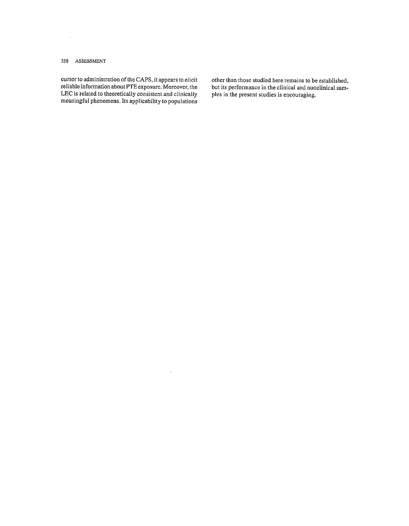# 338 ASSESSMENT

 $\sim 10^7$ 

cursor to administration of the CAPS, it appears to elicit reliable information about PTE exposure. Moreover, the LEC is related to theoretically consistent and clinically meaningful phenomena. Its applicability to populations

 $\overline{\phantom{a}}$ 

other than those studied here remains to be established, ples in the present studies is encouraging.

 $\hat{\boldsymbol{\beta}}$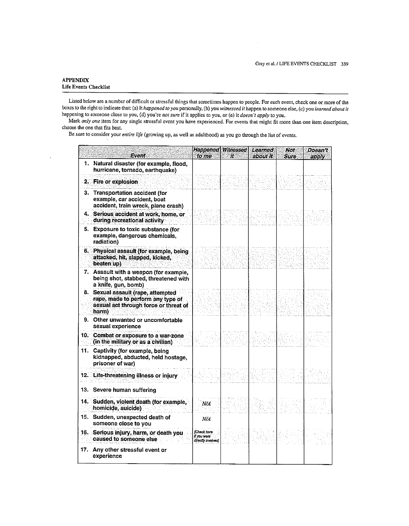# APPENDIX **Life Events** Checklist

Listed below are a number of difficult or stressful things that sometimes happen to people. For each event, check one or more of the boxes to the right to indicate that: (a) It *happened to you* personally, (b) you *witnessed it* happen to someone else, (c) you *learned about it*  happening to someone close to you, (d) you're *not* sure if it applies to you, or (e) it *doesn't apply* to you.

Mark *only one* item for any single stressful event you have experienced. For events that might fit more than one item description, choose the one that fits best.

Be sure to consider your *entire life* (growing up, as well as adulthood) as you go through the list of events.

| Event                                                                                                                     | <b>Happened</b>                                  | Witnessed | Learned  | Not: | Doesn't |
|---------------------------------------------------------------------------------------------------------------------------|--------------------------------------------------|-----------|----------|------|---------|
| 1. Natural disaster (for example, flood,<br>hurricane, tornado, earthquake)                                               | to me                                            | m.        | about if | Sure | apply   |
| 2. Fire or explosion                                                                                                      |                                                  |           |          |      |         |
| 3. Transportation accident (for<br>example, car accident, boat<br>accident, train wreck, plane crash)                     |                                                  |           |          |      |         |
| 4. Serious accident at work, home, or<br>during recreational activity                                                     |                                                  |           |          |      |         |
| 5. Exposure to toxic substance (for<br>example, dangerous chemicals,<br>radiation)                                        |                                                  |           |          |      |         |
| 6. Physical assault (for example, being<br>attacked, hit, slapped, kicked,<br>beaten up)                                  |                                                  |           |          |      |         |
| 7. Assault with a weapon (for example,<br>being shot, stabbed, threatened with<br>a knife, gun, bomb)                     |                                                  |           |          |      |         |
| 8. Sexual assault (rape, attempted<br>rape, made to perform any type of<br>sexual act through force or threat of<br>harm) |                                                  |           |          |      |         |
| 9. Other unwanted or uncomfortable<br>sexual experience                                                                   |                                                  |           |          |      |         |
| 10. Combat or exposure to a war-zone<br>(in the military or as a civilian)                                                |                                                  |           |          |      |         |
| 11. Captivity (for example, being<br>kidnapped, abducted, held hostage,<br>prisoner of war)                               |                                                  |           |          |      |         |
| 12. Life-threatening illness or injury                                                                                    |                                                  |           |          |      |         |
| 13. Severe human suffering                                                                                                |                                                  |           |          |      |         |
| 14. Sudden, violent death (for example,<br>homicide, suicide)                                                             | NIA                                              |           |          |      |         |
| 15. Sudden, unexpected death of<br>someone close to you                                                                   | NIA                                              |           |          |      |         |
| 16. Serious injury, harm, or death you<br>caused to someone else                                                          | (Check hore<br>If you were<br>directly involved) |           |          |      |         |
| 17. Any other stressful event or<br>experience                                                                            |                                                  |           |          |      |         |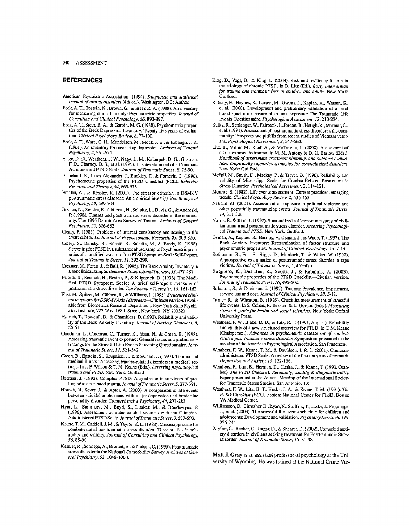340 ASSESSMENT

#### **REFERENCES**

- American Psychiatric Association. (1994). Diagnostic and statistical *manual of mental* disorders (4th ed.). Washington, DC: Author.
- Beck, A. T., Epstein, N., Brown, G., & Steer, R. A. (1988). An inventory for measuring clinical anxiety: Psychometric properties. *Journal* of *Consulting* and Clinical Psychology, 56, 893-897.
- Beck, A. T., Steer, R. A., & Garbin, M. G. (1988). Psychometric proper ties of the Beck Depression Inventory: Twenty-five years of evalua tion. Clinical Psychology Review, *8,* 77-100.
- Beck, A. T., Ward, C. H., Mendelson, M., Mock, J. E., & Erbaugh, J. K. (1961). An inventory for measuring depression. *Archives of General Psychiatry, 4,* 561-571.
- Blake, D. D., Weathers, **E** W., Nagy, L. M., Kaloupek, D. G., Gusman, F. D., Charney, D. S., et al. (1995). The development of a Ciinician-Administered PTSD Scale. Journal of Traumatic Stress, 8, 75-90.
- Blanchard, E., Jones-Alexander, J., Buckley, T., & Forneris, C. (1996). Psychometric properties of the PTSD Checklist (PCL). Behavior Research and *Therapy,* 34, 669-673.
- Breslau, N., & Kessler, R. (2001). The stressor criterion in DSM-IV posttraumatic stress disorder: An empirical investigation. Biological Psychiatry, *50,* 699-704.
- Breslau, N., Kessler, R., Chilcoat, H., Schultz, L., Davis, G., & Andreski, P. (1998). Trauma and posttraumatic stress disorder in the commu nity: The 1996 Detroit Area Survey of Trauma. Archives of General Psychiatry, 55, 626-632.
- Cleary, P. (1981). Problems of internal consistency and scaling in life event schedules. Journal of Psychosomatic Research, 25, 309-320.
- Coffey, S., Dansky, B., Falsetti, S., Saladin, M., & Brady, K. (1998). Screening for PTSD in a substance abuse sample: Psychometric properties of a modified version of the PTSD Symptom Scale Self-Report. *Journal of Traumatic* Stress, *11,* 393-399.
- Creamer, M., Foran, J., & Bell, R. (1995). The Beck Anxiety Inventory in a nonclinical sample. *Behavior* Research *and Therapy,* 33,477-487.
- Falsetti, S., Resnick, H., Resick, p, & Kilpatrick, D. (1993). The Modi fied PTSD Symptom Scale: A brief self-report measure of posttraumatic stress disorder. *The* Behavior Therapist, *16,* 161-162.
- First, M., Spitzer, M., Gibben, R., & Williams, J. *(1995).Structured* clini *cal inventory for DSM-IV Axis 1* disorders-Clinician version. (Avail able from Biometrics Research Department, New York State Psychi atric Institute, 722 West 168th Street, New York, NY 10032)
- Fydrich, T., Dowdall, D., & Chambless, D. (1992). Reliability and valid ity of the Beck Anxiety Inventory. Journal of Anxiety Disorders, 6, 55-61.
- Goodman, L., Corcoran, C., Turner, K., Yuan, N., & Green, B. (1998). Assessing traumatic event exposure: General issues and preliminary findings forthe Stressful Life Events Screening *Questionnaire.Jour* nal of *Traumatic* Stress, 11, 521-542.
- Green, B., Epstein, S., Krupnick, J., & Rowland, J. (1997). Trauma and medical illness: Assessing trauma-related disorders in medical set tings. In J. P. Wilson & T. M. Keane (Eds.). *Assessing* psychological *trauma* and PTSD. New York: Guilford.
- Herman, J. (1992). Complex PTSD: A syndrome in survivors of pro longed and repeated trauma. *Journal of Traumatic Stress*, 5, 377-391.
- Horesh, N., Sever, J., & Apter, A. (2003). A comparison of life events between suicidal adolescents with major depression and borderline personality disorder. Comprehensive Psychiatry, 44, 277-283.
- Hyer, L., Summers, M., Boyd, S., Litaker, M., & Boudewyns, P. (1996). Assessment of older combat veterans with the Clinician Administered PTSD Scale. *Journal of Traumatic Stress, 9,* 587-593.
- Keane, T. M., Caddell, J. M., & Taylor, K. L. (1988). Mississippi scale for combat-related posttraumatic stress disorder: Three studies in reli ability and validity. Journal of Consulting and Clinical Psychology, 56, 85-90.
- Kessler, R., Sonnega, A., Bromet, E., & Nelson, C. (1995). Postraumatic stress disorder in the National Comorbidity Survey. *Archives of* Gen eral Psychiatry, 52, 1048-1060.
- King, D., Vogt, D., & King, L. (2003). Risk and resiliency factors in the etiology of chronic PTSD. In B. Litz (Ed.), Early *Intervention*  for *trauma* and *traumatic* loss in children and adults. New York: Guilford.
- Kubany, E., Haynes, S., Leisen, M., Owens, J., Kaplan, A., Watson, S., et al. (2000). Development and preliminary validation of a brief broad-spectrum measure of trauma exposure: The Traumatic Life Events Questionnaire. Psychological Assessment, 12, 210-224.
- Kulka, R., Schlenger, W., Fairbank, J., Jordan, B., Hough, R., Marmar, C., et al. (1991). Assessment of posttraumatic stress disorder in the com munity: Prospects and pitfalls from recent studies of Vietnam veter ans. Psychological Assessment, 3, 547-560.
- Litz, B., Miller, M., Ruef, A., & McTeague, L. (2000). Assessment of adults exposed to trauma. In M. M. Antony  $\&$  D. H. Barlow (Eds.), Handbook of assessment, *treatment* planning, *and* outcome evalua *tion:* Empirically supported strategies for psychological disorders. New York: Guilford.
- McFall, M., Smith, D., Mackay, P., & Tarver, D. (1990). Reliability and validity of Mississippi Scale for Combat-Related Posttraumatic Stress Disorder. Psychological Assessment, 2, 114-121.
- Monroe, S. (1982). Life events assessment: Current practices, emerging trends. Clinical Psychology Review, 2, 435-453.
- Netland, M. (2001). Assessment of exposure to political violence and other potentially traumatizing events. Journal of Traumatic Stress, 14,311-326.
- Norris, F., & Riad, J. (1997). Standardized self-report measures of civil ian trauma and posttraumatic stress disorder. Assessing Psychological Trauma *and* PTSD. New York: Guilford.
- Osman, A., Kopper, B., Barrios, F., Osman, J., & Wade, T. (1997). The Beck Anxiety Inventory: Reexamination of factor structure and psychometric properties. *Journal of Clinical Psychology, 53,* 7-14.
- Rothbaum, B., Foa, E., Riggs, D., Murdock, T., & Walsh, W. (1992). A prospective examination of posttraumatic stress disorder in rape victims. Journal *of Traumatic Stress, 5,* 455-475.
- Ruggiero, K., Del Ben, K., Scotti, J., & Rabalais, A. (2003). Psychometric properties of the PTSD Checklist-Civilian Version. *Journal of Traumatic Stress,* 16, 495-502.
- Solomon, S., & Davidson, J. (1997). Trauma: Prevalence, impairment, service use and cost. *Journal* of Clinical Psychiatry, *58, 5-11.*
- Turner, R., & Wheaton, B. (1995). Checklist measurement of stressful life events. In S. Cohen, R. Kessler, & L. Gordon (Eds.), Measuring *stress:* A guide for health and social scientists. New York: Oxford University Press.
- Weathers, F W., Blake, D. D., & Litz, B. T. (1991, August). Reliability and validity of a new structured interview for PTSD. In T. M. Keane (Chairperson), Advances in psychometric assessment of combat *related post-traumatic* stress disorder. Symposium presented at the meeting of the American Psychological Association, San Francisco.
- Weathers, F. W., Keane, T. M., & Davidson, **J.** R. T.(2001). Clinician administered PTSD Scale: A review of the first ten years of research. Depression and Anxiety, *13,* 132-156.
- Weathers, F., Litz, B., Herman, D., Huska, J., & Keane, T. (1993, Octo ber). The PTSD Checklist: Reliability, validity, *&* diagnostic utility. Paper presented at the Annual Meeting of the International Society for Traumatic Stress Studies, San Antonio, TX.
- Weathers, *F.* W., Litz, B. T., Huska, J. A., & Keane, T. M. (1991). The PTSD Checklist (PCL). Boston: National Center for PTSD, Boston VA Medical Center.
- Williamson, D., Birmaher, B., Ryan, N., Shiffrin, T., Lusky, J., Protopapa, J., et al. (2003). The stressful life events schedule for children and adolescents: Development and validation. *Psychiatry* Research, *119,*  225-241.
- Zayfert, C., Becker, C., Unger, D., & Shearer, D. (2002). Comorbid anxi ety disorders in civilians seeking treatment for Posttraumatic Stress Disorder. *Journal* of *Traumatic* Stress, *15,* 31-38.

Matt **J.** Gray is an assistant professor of psychology at the Uni versity of Wyoming. He was trained at the National Crime Vic-